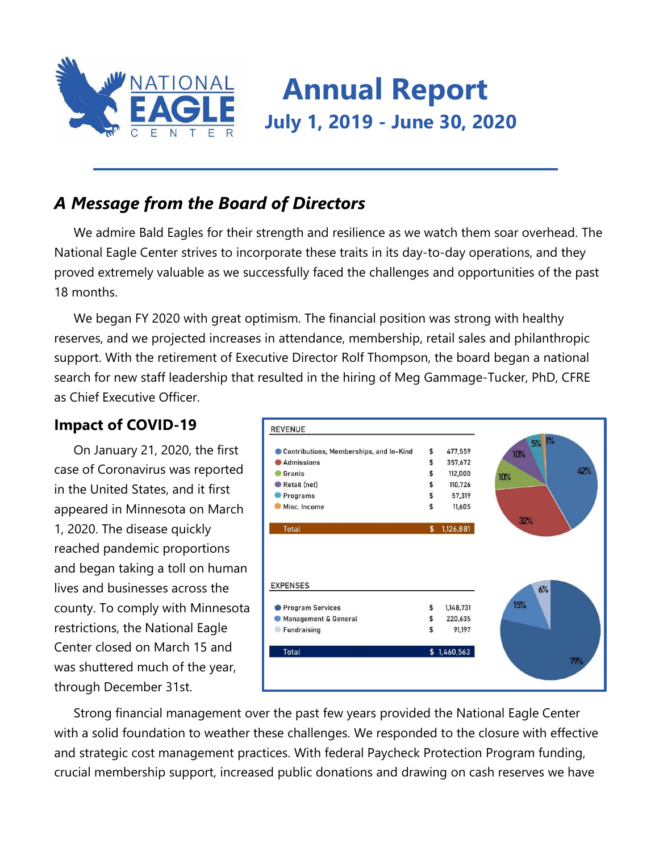

# **Annual Report July 1, 2019 - June 30, 2020**

## *A Message from the Board of Directors*

We admire Bald Eagles for their strength and resilience as we watch them soar overhead. The National Eagle Center strives to incorporate these traits in its day-to-day operations, and they proved extremely valuable as we successfully faced the challenges and opportunities of the past 18 months.

We began FY 2020 with great optimism. The financial position was strong with healthy reserves, and we projected increases in attendance, membership, retail sales and philanthropic support. With the retirement of Executive Director Rolf Thompson, the board began a national search for new staff leadership that resulted in the hiring of Meg Gammage-Tucker, PhD, CFRE as Chief Executive Officer.

### **Impact of COVID-19**

On January 21, 2020, the first case of Coronavirus was reported in the United States, and it first appeared in Minnesota on March 1, 2020. The disease quickly reached pandemic proportions and began taking a toll on human lives and businesses across the county. To comply with Minnesota restrictions, the National Eagle Center closed on March 15 and was shuttered much of the year, through December 31st.



Strong financial management over the past few years provided the National Eagle Center with a solid foundation to weather these challenges. We responded to the closure with effective and strategic cost management practices. With federal Paycheck Protection Program funding, crucial membership support, increased public donations and drawing on cash reserves we have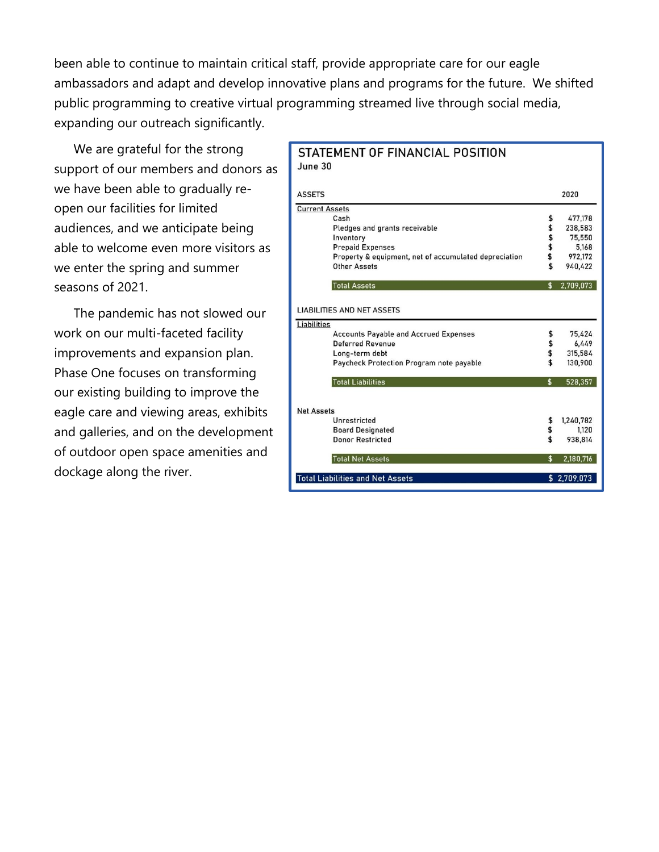been able to continue to maintain critical staff, provide appropriate care for our eagle ambassadors and adapt and develop innovative plans and programs for the future. We shifted public programming to creative virtual programming streamed live through social media, expanding our outreach significantly.

We are grateful for the strong support of our members and donors as we have been able to gradually reopen our facilities for limited audiences, and we anticipate being able to welcome even more visitors as we enter the spring and summer seasons of 2021.

The pandemic has not slowed our work on our multi-faceted facility improvements and expansion plan. Phase One focuses on transforming our existing building to improve the eagle care and viewing areas, exhibits and galleries, and on the development of outdoor open space amenities and dockage along the river.

#### STATEMENT OF FINANCIAL POSITION June 30

| <b>ASSETS</b>                                         | 2020            |
|-------------------------------------------------------|-----------------|
| <b>Current Assets</b>                                 |                 |
| Cash                                                  | \$<br>477,178   |
| Pledges and grants receivable                         | \$<br>238,583   |
| Inventory                                             | \$<br>75,550    |
| <b>Prepaid Expenses</b>                               | \$<br>5.168     |
| Property & equipment, net of accumulated depreciation | \$<br>972,172   |
| Other Assets                                          | \$<br>940,422   |
| <b>Total Assets</b>                                   | \$<br>2,709,073 |
| <b>LIABILITIES AND NET ASSETS</b>                     |                 |
| Liabilities                                           |                 |
| <b>Accounts Payable and Accrued Expenses</b>          | \$<br>75,424    |
| Deferred Revenue                                      | \$<br>6,449     |
| Long-term debt                                        | \$<br>315.584   |
| Paycheck Protection Program note payable              | \$<br>130,900   |
| <b>Total Liabilities</b>                              | \$<br>528,357   |
| <b>Net Assets</b>                                     |                 |
| Unrestricted                                          | \$<br>1,240,782 |
| <b>Board Designated</b>                               | \$<br>1,120     |
| <b>Donor Restricted</b>                               | \$<br>938,814   |
| <b>Total Net Assets</b>                               | \$<br>2,180,716 |
| <b>Total Liabilities and Net Assets</b>               | \$2,709,073     |